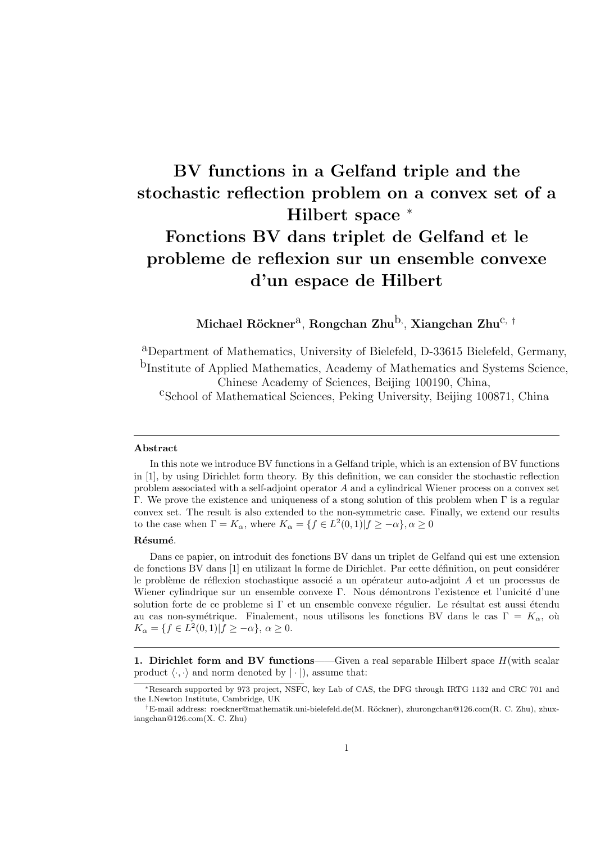## **BV functions in a Gelfand triple and the stochastic reflection problem on a convex set of a Hilbert space** *<sup>∗</sup>* **Fonctions BV dans triplet de Gelfand et le probleme de reflexion sur un ensemble convexe d'un espace de Hilbert**

**Michael R¨ockner**a, **Rongchan Zhu**b*,* , **Xiangchan Zhu**c*, †*

aDepartment of Mathematics, University of Bielefeld, D-33615 Bielefeld, Germany, bInstitute of Applied Mathematics, Academy of Mathematics and Systems Science, Chinese Academy of Sciences, Beijing 100190, China, cSchool of Mathematical Sciences, Peking University, Beijing 100871, China

## **Abstract**

In this note we introduce BV functions in a Gelfand triple, which is an extension of BV functions in [1], by using Dirichlet form theory. By this definition, we can consider the stochastic reflection problem associated with a self-adjoint operator  $A$  and a cylindrical Wiener process on a convex set Γ. We prove the existence and uniqueness of a stong solution of this problem when Γ is a regular convex set. The result is also extended to the non-symmetric case. Finally, we extend our results to the case when  $\Gamma = K_{\alpha}$ , where  $K_{\alpha} = \{f \in L^2(0,1) | f \geq -\alpha\}, \alpha \geq 0$ 

## **R´esum´e**.

Dans ce papier, on introduit des fonctions BV dans un triplet de Gelfand qui est une extension de fonctions BV dans [1] en utilizant la forme de Dirichlet. Par cette définition, on peut considérer le problème de réflexion stochastique associé a un opérateur auto-adjoint  $A$  et un processus de Wiener cylindrique sur un ensemble convexe Γ. Nous démontrons l'existence et l'unicité d'une solution forte de ce probleme si  $\Gamma$  et un ensemble convexe régulier. Le résultat est aussi étendu au cas non-symétrique. Finalement, nous utilisons les fonctions BV dans le cas  $\Gamma = K_{\alpha}$ , où  $K_{\alpha} = \{f \in L^2(0,1) | f \geq -\alpha\}, \alpha \geq 0.$ 

**1. Dirichlet form and BV functions——Given a real separable Hilbert space**  $H$  **(with scalar)** product  $\langle \cdot, \cdot \rangle$  and norm denoted by  $| \cdot |$ ), assume that:

*<sup>∗</sup>*Research supported by 973 project, NSFC, key Lab of CAS, the DFG through IRTG 1132 and CRC 701 and the I.Newton Institute, Cambridge, UK

*<sup>†</sup>*E-mail address: roeckner@mathematik.uni-bielefeld.de(M. R¨ockner), zhurongchan@126.com(R. C. Zhu), zhuxiangchan@126.com(X. C. Zhu)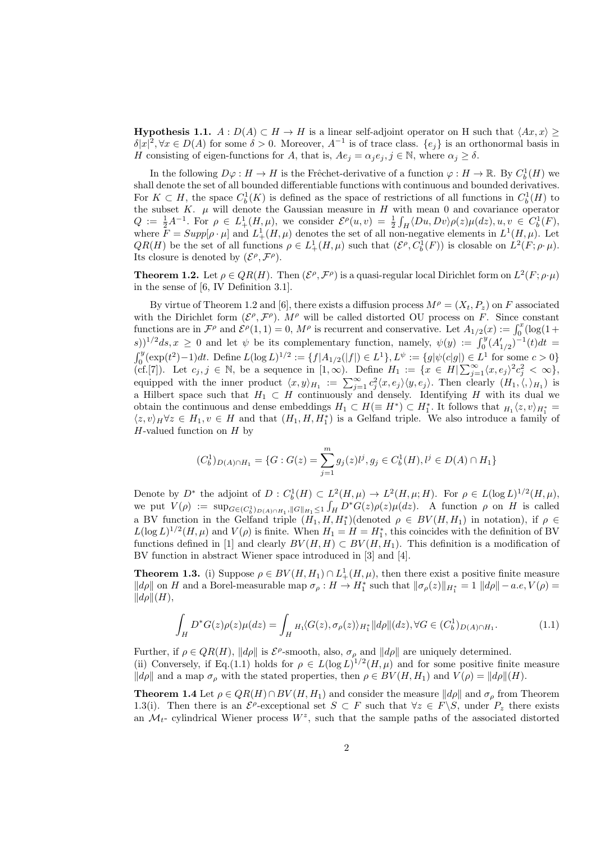**Hypothesis 1.1.**  $A: D(A) \subset H \to H$  is a linear self-adjoint operator on H such that  $\langle Ax, x \rangle \ge$  $\delta |x|^2$ ,  $\forall x \in D(A)$  for some  $\delta > 0$ . Moreover,  $A^{-1}$  is of trace class.  $\{e_j\}$  is an orthonormal basis in *H* consisting of eigen-functions for *A*, that is,  $Ae_j = \alpha_j e_j$ ,  $j \in \mathbb{N}$ , where  $\alpha_j \geq \delta$ .

In the following  $D\varphi : H \to H$  is the Frêchet-derivative of a function  $\varphi : H \to \mathbb{R}$ . By  $C_b^1(H)$  we shall denote the set of all bounded differentiable functions with continuous and bounded derivatives. For  $K \subset H$ , the space  $C_b^1(K)$  is defined as the space of restrictions of all functions in  $C_b^1(H)$  to the subset  $K$ .  $\mu$  will denote the Gaussian measure in  $H$  with mean 0 and covariance operator  $Q := \frac{1}{2}A^{-1}$ . For  $\rho \in L^1_+(H,\mu)$ , we consider  $\mathcal{E}^{\rho}(u,v) = \frac{1}{2} \int_H \langle Du, Dv \rangle \rho(z) \mu(dz), u, v \in C_b^1(F)$ , where  $\overline{F} = Supp[\rho \cdot \mu]$  and  $L^1_+(H, \mu)$  denotes the set of all non-negative elements in  $L^1(H, \mu)$ . Let  $QR(H)$  be the set of all functions  $\rho \in L^1_+(H,\mu)$  such that  $(\mathcal{E}^\rho, C^1_b(F))$  is closable on  $L^2(F;\rho\cdot\mu)$ . Its closure is denoted by  $(\mathcal{E}^{\rho}, \mathcal{F}^{\rho})$ .

**Theorem 1.2.** Let  $\rho \in QR(H)$ . Then  $(\mathcal{E}^{\rho}, \mathcal{F}^{\rho})$  is a quasi-regular local Dirichlet form on  $L^2(F; \rho \cdot \mu)$ in the sense of [6, IV Definition 3.1].

By virtue of Theorem 1.2 and [6], there exists a diffusion process  $M^{\rho} = (X_t, P_z)$  on F associated with the Dirichlet form  $(\mathcal{E}^{\rho}, \mathcal{F}^{\rho})$ . M<sup> $\rho$ </sup> will be called distorted OU process on F. Since constant functions are in  $\mathcal{F}^{\rho}$  and  $\mathcal{E}^{\rho}(1,1) = 0$ ,  $M^{\rho}$  is recurrent and conservative. Let  $A_{1/2}(x) := \int_0^x (\log(1 +$  $(\mathbf{z}^{(k)})^{1/2}$  *ds*,  $x \geq 0$  and let  $\psi$  be its complementary function, namely,  $\psi(y) := \int_0^y (A'_{1/2})^{-1}(t) dt =$  $\int_0^y (\exp(t^2) - 1) dt$ . Define  $L(\log L)^{1/2} := \{f | A_{1/2}(|f|) \in L^1\}$ ,  $L^{\psi} := \{g | \psi(c|g|) \in L^1 \text{ for some } c > 0\}$ (cf.[7]). Let  $c_j$ ,  $j \in \mathbb{N}$ , be a sequence in  $[1, \infty)$ . Define  $H_1 := \{x \in H | \sum_{j=1}^{\infty} \langle x, e_j \rangle^2 c_j^2 < \infty \}$ , equipped with the inner product  $\langle x, y \rangle_{H_1} := \sum_{j=1}^{\infty} c_j^2 \langle x, e_j \rangle \langle y, e_j \rangle$ . Then clearly  $(H_1, \langle, \rangle_{H_1})$  is a Hilbert space such that  $H_1 \subset H$  continuously and densely. Identifying H with its dual we obtain the continuous and dense embeddings  $H_1 \subset H (\equiv H^*) \subset H_1^*$ . It follows that  $H_1 \langle z, v \rangle_{H_1^*} =$  $\langle z, v \rangle_H \forall z \in H_1, v \in H$  and that  $(H_1, H, H_1^*)$  is a Gelfand triple. We also introduce a family of  $H$ -valued function on  $H$  by

$$
(C_b^1)_{D(A)\cap H_1} = \{G : G(z) = \sum_{j=1}^m g_j(z)l^j, g_j \in C_b^1(H), l^j \in D(A) \cap H_1\}
$$

Denote by  $D^*$  the adjoint of  $D: C_b^1(H) \subset L^2(H, \mu) \to L^2(H, \mu; H)$ . For  $\rho \in L(\log L)^{1/2}(H, \mu)$ , we put  $V(\rho) := \sup_{G \in (C_b^1)_{D(A) \cap H_1}, ||G||_{H_1} \le 1} \int_H D^*G(z)\rho(z)\mu(dz)$ . A function  $\rho$  on  $H$  is called a BV function in the Gelfand triple  $(H_1, H, H_1^*)($ denoted  $\rho \in BV(H, H_1)$  in notation), if  $\rho \in$  $L(\log L)^{1/2}(H,\mu)$  and  $V(\rho)$  is finite. When  $H_1 = H = H_1^*$ , this coincides with the definition of BV functions defined in [1] and clearly  $BV(H, H) \subset BV(H, H_1)$ . This definition is a modification of BV function in abstract Wiener space introduced in [3] and [4].

**Theorem 1.3.** (i) Suppose  $\rho \in BV(H, H_1) \cap L^1_+(H, \mu)$ , then there exist a positive finite measure  $||d\rho||$  on *H* and a Borel-measurable map  $\sigma_{\rho}: H \to H_1^*$  such that  $||\sigma_{\rho}(z)||_{H_1^*} = 1$   $||d\rho|| - a.e, V(\rho) =$  $||d\rho||(H),$ 

$$
\int_H D^*G(z)\rho(z)\mu(dz) = \int_H H_1\langle G(z), \sigma_\rho(z)\rangle_{H_1^*} ||d\rho||(dz), \forall G \in (C_b^1)_{D(A)\cap H_1}.\tag{1.1}
$$

Further, if  $\rho \in QR(H)$ ,  $||d\rho||$  is  $\mathcal{E}^{\rho}$ -smooth, also,  $\sigma_{\rho}$  and  $||d\rho||$  are uniquely determined.

(ii) Conversely, if Eq.(1.1) holds for  $\rho \in L(\log L)^{1/2}(H,\mu)$  and for some positive finite measure *∥* $d\rho$ *∥* and a map  $\sigma_{\rho}$  with the stated properties, then  $\rho \in BV(H, H_1)$  and  $V(\rho) = ||d\rho||(H)$ .

**Theorem 1.4** Let  $\rho \in QR(H) \cap BV(H, H_1)$  and consider the measure  $||d\rho||$  and  $\sigma_\rho$  from Theorem 1.3(i). Then there is an  $\mathcal{E}^{\rho}$ -exceptional set  $S \subset F$  such that  $\forall z \in F \setminus S$ , under  $P_z$  there exists an  $\mathcal{M}_{t}$ - cylindrical Wiener process  $W^z$ , such that the sample paths of the associated distorted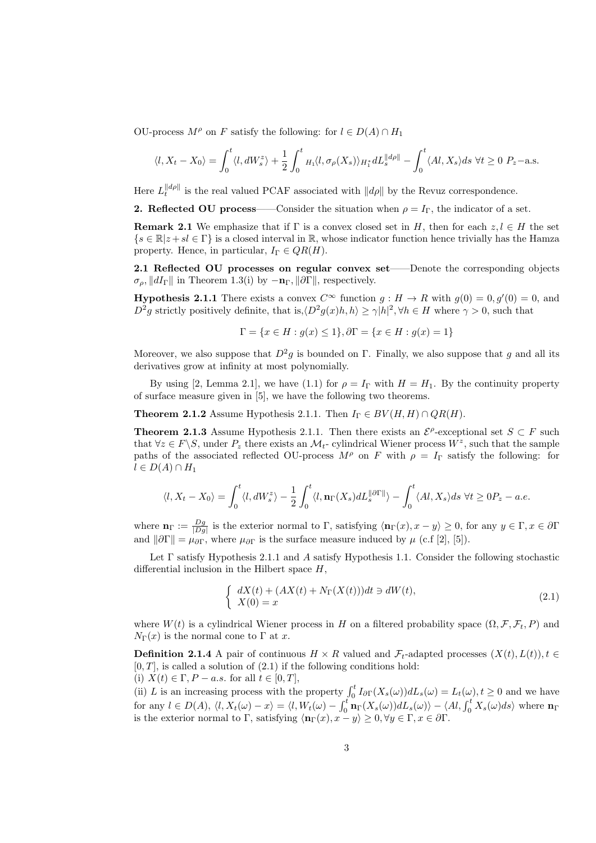OU-process  $M^{\rho}$  on F satisfy the following: for  $l \in D(A) \cap H_1$ 

$$
\langle l, X_t - X_0 \rangle = \int_0^t \langle l, dW_s^z \rangle + \frac{1}{2} \int_0^t H_1 \langle l, \sigma_\rho(X_s) \rangle_{H_1^*} dL_s^{\|d\rho\|} - \int_0^t \langle Al, X_s \rangle ds \ \forall t \ge 0 \ P_z - \text{a.s.}
$$

Here  $L_t^{\|\dot{d}\rho\|}$  is the real valued PCAF associated with  $\|\dot{d}\rho\|$  by the Revuz correspondence.

**2. Reflected OU process**——Consider the situation when  $\rho = I_{\Gamma}$ , the indicator of a set.

**Remark 2.1** We emphasize that if  $\Gamma$  is a convex closed set in H, then for each  $z, l \in H$  the set  $\{s \in \mathbb{R} | z + sl \in \Gamma\}$  is a closed interval in ℝ, whose indicator function hence trivially has the Hamza property. Hence, in particular,  $I_{\Gamma} \in QR(H)$ .

**2.1 Reflected OU processes on regular convex set**——Denote the corresponding objects  $\sigma_{\rho}$ ,  $||dI_{\Gamma}||$  in Theorem 1.3(i) by  $-\mathbf{n}_{\Gamma}$ ,  $||\partial\Gamma||$ , respectively.

**Hypothesis 2.1.1** There exists a convex  $C^{\infty}$  function  $g : H \to R$  with  $g(0) = 0, g'(0) = 0$ , and  $D^2g$  strictly positively definite, that is, $\langle D^2g(x)h, h \rangle \geq \gamma |h|^2, \forall h \in H$  where  $\gamma > 0$ , such that

$$
\Gamma = \{x \in H : g(x) \le 1\}, \partial \Gamma = \{x \in H : g(x) = 1\}
$$

Moreover, we also suppose that  $D^2g$  is bounded on Γ. Finally, we also suppose that g and all its derivatives grow at infinity at most polynomially.

By using [2, Lemma 2.1], we have (1.1) for  $\rho = I_{\Gamma}$  with  $H = H_1$ . By the continuity property of surface measure given in [5], we have the following two theorems.

**Theorem 2.1.2** Assume Hypothesis 2.1.1. Then  $I_{\Gamma} \in BV(H, H) \cap QR(H)$ .

**Theorem 2.1.3** Assume Hypothesis 2.1.1. Then there exists an  $\mathcal{E}^{\rho}$ -exceptional set  $S \subset F$  such that  $\forall z \in F \backslash S$ , under  $P_z$  there exists an  $\mathcal{M}_t$ - cylindrical Wiener process  $W^z$ , such that the sample paths of the associated reflected OU-process  $M^{\rho}$  on F with  $\rho = I_{\Gamma}$  satisfy the following: for  $l \in D(A) \cap H_1$ 

$$
\langle l, X_t - X_0 \rangle = \int_0^t \langle l, dW_s^z \rangle - \frac{1}{2} \int_0^t \langle l, \mathbf{n}_{\Gamma}(X_s) dL_s^{\|\partial\Gamma\|} \rangle - \int_0^t \langle Al, X_s \rangle ds \ \forall t \ge 0 \ P_z - a.e.
$$

where  $\mathbf{n}_{\Gamma} := \frac{Dg}{|Dg|}$  is the exterior normal to  $\Gamma$ , satisfying  $\langle \mathbf{n}_{\Gamma}(x), x - y \rangle \ge 0$ , for any  $y \in \Gamma, x \in \partial \Gamma$ and  $\|\partial\Gamma\| = \mu_{\partial\Gamma}$ , where  $\mu_{\partial\Gamma}$  is the surface measure induced by  $\mu$  (c.f [2], [5]).

Let  $\Gamma$  satisfy Hypothesis 2.1.1 and  $\Lambda$  satisfy Hypothesis 1.1. Consider the following stochastic differential inclusion in the Hilbert space  $H$ ,

$$
\begin{cases}\n dX(t) + (AX(t) + N_{\Gamma}(X(t)))dt \ni dW(t), \\
X(0) = x\n\end{cases}
$$
\n(2.1)

where  $W(t)$  is a cylindrical Wiener process in  $H$  on a filtered probability space  $(\Omega, \mathcal{F}, \mathcal{F}_t, P)$  and  $N_{\Gamma}(x)$  is the normal cone to  $\Gamma$  at x.

**Definition 2.1.4** A pair of continuous  $H \times R$  valued and  $\mathcal{F}_t$ -adapted processes  $(X(t), L(t))$ ,  $t \in$  $[0, T]$ , is called a solution of  $(2.1)$  if the following conditions hold: (i)  $X(t) \in \Gamma, P - a.s.$  for all  $t \in [0, T],$ 

(ii) L is an increasing process with the property  $\int_0^t I_{\partial \Gamma}(X_s(\omega))dL_s(\omega) = L_t(\omega), t \ge 0$  and we have for any  $l \in D(A)$ ,  $\langle l, X_t(\omega) - x \rangle = \langle l, W_t(\omega) - \int_0^t \mathbf{n}_{\Gamma}(X_s(\omega))dL_s(\omega) \rangle - \langle Al, \int_0^t X_s(\omega)ds \rangle$  where  $\mathbf{n}_{\Gamma}$ is the exterior normal to  $\Gamma$ , satisfying  $\langle \mathbf{n}_{\Gamma}(x), x - y \rangle \geq 0, \forall y \in \Gamma, x \in \partial \Gamma$ .